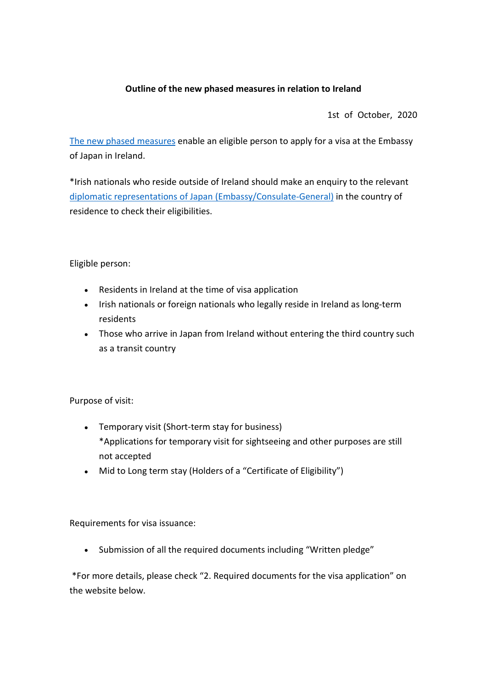## **Outline of the new phased measures in relation to Ireland**

1st of October, 2020

The new phased measures enable an eligible person to apply for a visa at the Embassy of Japan in Ireland.

\*Irish nationals who reside outside of Ireland should make an enquiry to the relevant diplomatic representations of Japan (Embassy/Consulate-General) in the country of residence to check their eligibilities.

Eligible person:

- Residents in Ireland at the time of visa application
- Irish nationals or foreign nationals who legally reside in Ireland as long-term residents
- Those who arrive in Japan from Ireland without entering the third country such as a transit country

Purpose of visit:

- Temporary visit (Short-term stay for business) \*Applications for temporary visit for sightseeing and other purposes are still not accepted
- Mid to Long term stay (Holders of a "Certificate of Eligibility")

Requirements for visa issuance:

• Submission of all the required documents including "Written pledge"

\*For more details, please check "2. Required documents for the visa application" on the website below.